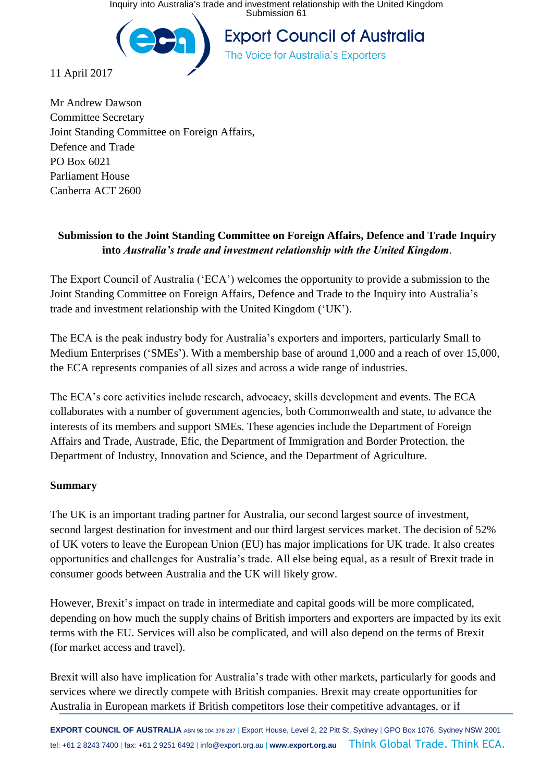Inquiry into Australia's trade and investment relationship with the United Kingdom Submission 61

**Export Council of Australia** 

The Voice for Australia's Exporters



11 April 2017

Mr Andrew Dawson Committee Secretary Joint Standing Committee on Foreign Affairs, Defence and Trade PO Box 6021 Parliament House Canberra ACT 2600

# **Submission to the Joint Standing Committee on Foreign Affairs, Defence and Trade Inquiry into** *Australia's trade and investment relationship with the United Kingdom.*

The Export Council of Australia ('ECA') welcomes the opportunity to provide a submission to the Joint Standing Committee on Foreign Affairs, Defence and Trade to the Inquiry into Australia's trade and investment relationship with the United Kingdom ('UK').

The ECA is the peak industry body for Australia's exporters and importers, particularly Small to Medium Enterprises ('SMEs'). With a membership base of around 1,000 and a reach of over 15,000, the ECA represents companies of all sizes and across a wide range of industries.

The ECA's core activities include research, advocacy, skills development and events. The ECA collaborates with a number of government agencies, both Commonwealth and state, to advance the interests of its members and support SMEs. These agencies include the Department of Foreign Affairs and Trade, Austrade, Efic, the Department of Immigration and Border Protection, the Department of Industry, Innovation and Science, and the Department of Agriculture.

#### **Summary**

The UK is an important trading partner for Australia, our second largest source of investment, second largest destination for investment and our third largest services market. The decision of 52% of UK voters to leave the European Union (EU) has major implications for UK trade. It also creates opportunities and challenges for Australia's trade. All else being equal, as a result of Brexit trade in consumer goods between Australia and the UK will likely grow.

However, Brexit's impact on trade in intermediate and capital goods will be more complicated, depending on how much the supply chains of British importers and exporters are impacted by its exit terms with the EU. Services will also be complicated, and will also depend on the terms of Brexit (for market access and travel).

Brexit will also have implication for Australia's trade with other markets, particularly for goods and services where we directly compete with British companies. Brexit may create opportunities for Australia in European markets if British competitors lose their competitive advantages, or if

**EXPORT COUNCIL OF AUSTRALIA** ABN 98 004 378 287 | Export House, Level 2, 22 Pitt St, Sydney | GPO Box 1076, Sydney NSW 2001 tel: +61 2 8243 7400 | fax: +61 2 9251 6492 | info@export.org.au | **www.export.org.au** Think Global Trade. Think ECA.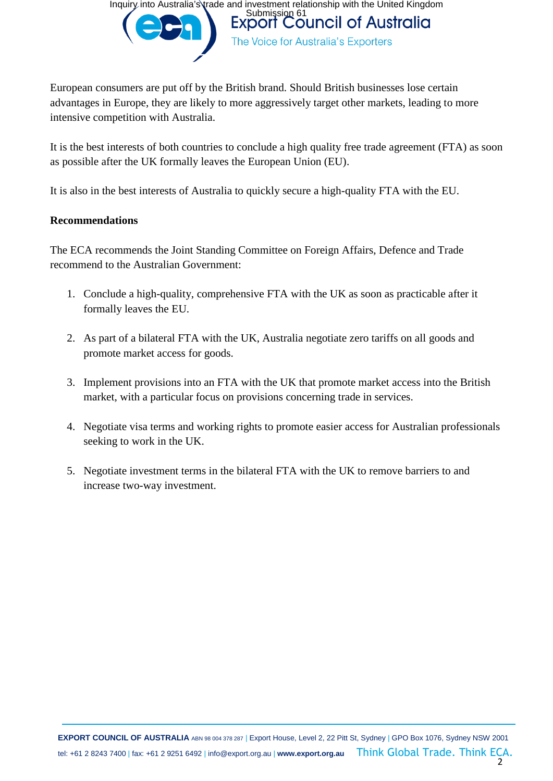

European consumers are put off by the British brand. Should British businesses lose certain advantages in Europe, they are likely to more aggressively target other markets, leading to more intensive competition with Australia.

It is the best interests of both countries to conclude a high quality free trade agreement (FTA) as soon as possible after the UK formally leaves the European Union (EU).

It is also in the best interests of Australia to quickly secure a high-quality FTA with the EU.

#### **Recommendations**

The ECA recommends the Joint Standing Committee on Foreign Affairs, Defence and Trade recommend to the Australian Government:

- 1. Conclude a high-quality, comprehensive FTA with the UK as soon as practicable after it formally leaves the EU.
- 2. As part of a bilateral FTA with the UK, Australia negotiate zero tariffs on all goods and promote market access for goods.
- 3. Implement provisions into an FTA with the UK that promote market access into the British market, with a particular focus on provisions concerning trade in services.
- 4. Negotiate visa terms and working rights to promote easier access for Australian professionals seeking to work in the UK.
- 5. Negotiate investment terms in the bilateral FTA with the UK to remove barriers to and increase two-way investment.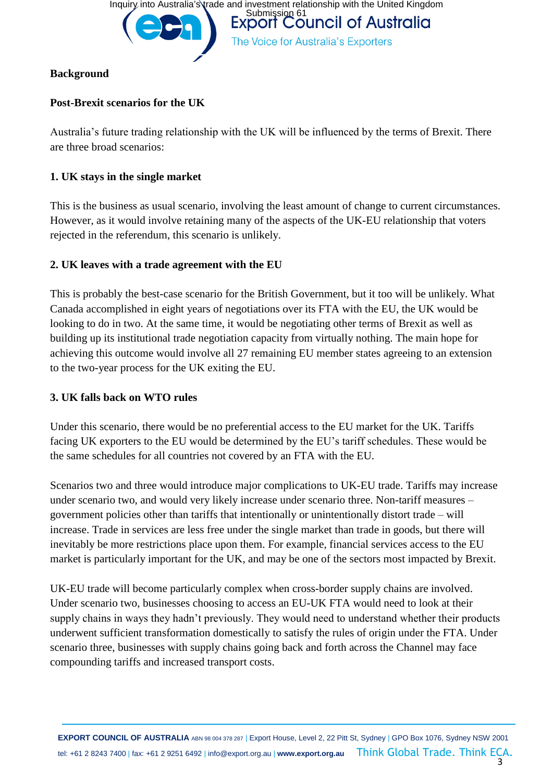

# **Background**

# **Post-Brexit scenarios for the UK**

Australia's future trading relationship with the UK will be influenced by the terms of Brexit. There are three broad scenarios:

### **1. UK stays in the single market**

This is the business as usual scenario, involving the least amount of change to current circumstances. However, as it would involve retaining many of the aspects of the UK-EU relationship that voters rejected in the referendum, this scenario is unlikely.

# **2. UK leaves with a trade agreement with the EU**

This is probably the best-case scenario for the British Government, but it too will be unlikely. What Canada accomplished in eight years of negotiations over its FTA with the EU, the UK would be looking to do in two. At the same time, it would be negotiating other terms of Brexit as well as building up its institutional trade negotiation capacity from virtually nothing. The main hope for achieving this outcome would involve all 27 remaining EU member states agreeing to an extension to the two-year process for the UK exiting the EU.

### **3. UK falls back on WTO rules**

Under this scenario, there would be no preferential access to the EU market for the UK. Tariffs facing UK exporters to the EU would be determined by the EU's tariff schedules. These would be the same schedules for all countries not covered by an FTA with the EU.

Scenarios two and three would introduce major complications to UK-EU trade. Tariffs may increase under scenario two, and would very likely increase under scenario three. Non-tariff measures – government policies other than tariffs that intentionally or unintentionally distort trade – will increase. Trade in services are less free under the single market than trade in goods, but there will inevitably be more restrictions place upon them. For example, financial services access to the EU market is particularly important for the UK, and may be one of the sectors most impacted by Brexit.

UK-EU trade will become particularly complex when cross-border supply chains are involved. Under scenario two, businesses choosing to access an EU-UK FTA would need to look at their supply chains in ways they hadn't previously. They would need to understand whether their products underwent sufficient transformation domestically to satisfy the rules of origin under the FTA. Under scenario three, businesses with supply chains going back and forth across the Channel may face compounding tariffs and increased transport costs.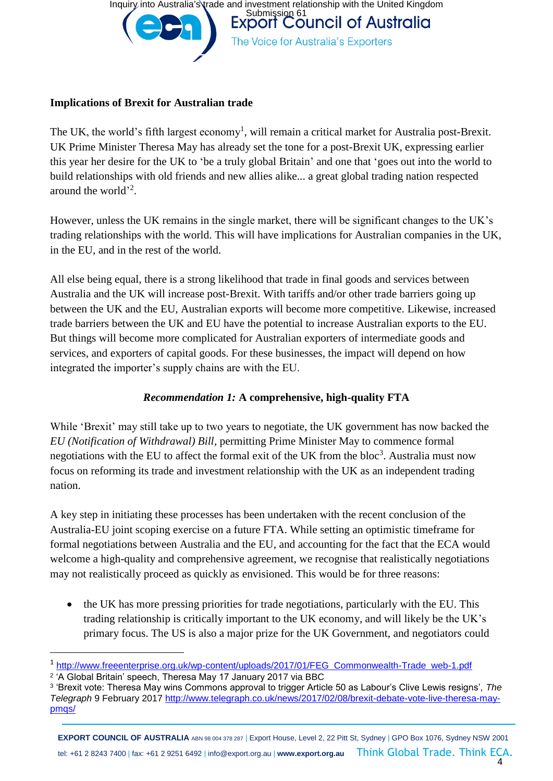Inquiry into Australia's trade and investment relationship with the United Kingdom<br>EXDOIT COUNCIL Of Australia The Voice for Australia's Exporters

#### **Implications of Brexit for Australian trade**

The UK, the world's fifth largest economy<sup>1</sup>, will remain a critical market for Australia post-Brexit. UK Prime Minister Theresa May has already set the tone for a post-Brexit UK, expressing earlier this year her desire for the UK to 'be a truly global Britain' and one that 'goes out into the world to build relationships with old friends and new allies alike... a great global trading nation respected around the world' 2 .

However, unless the UK remains in the single market, there will be significant changes to the UK's trading relationships with the world. This will have implications for Australian companies in the UK, in the EU, and in the rest of the world.

All else being equal, there is a strong likelihood that trade in final goods and services between Australia and the UK will increase post-Brexit. With tariffs and/or other trade barriers going up between the UK and the EU, Australian exports will become more competitive. Likewise, increased trade barriers between the UK and EU have the potential to increase Australian exports to the EU. But things will become more complicated for Australian exporters of intermediate goods and services, and exporters of capital goods. For these businesses, the impact will depend on how integrated the importer's supply chains are with the EU.

### *Recommendation 1:* **A comprehensive, high-quality FTA**

While 'Brexit' may still take up to two years to negotiate, the UK government has now backed the *EU (Notification of Withdrawal) Bill*, permitting Prime Minister May to commence formal negotiations with the EU to affect the formal exit of the UK from the bloc<sup>3</sup>. Australia must now focus on reforming its trade and investment relationship with the UK as an independent trading nation.

A key step in initiating these processes has been undertaken with the recent conclusion of the Australia-EU joint scoping exercise on a future FTA. While setting an optimistic timeframe for formal negotiations between Australia and the EU, and accounting for the fact that the ECA would welcome a high-quality and comprehensive agreement, we recognise that realistically negotiations may not realistically proceed as quickly as envisioned. This would be for three reasons:

• the UK has more pressing priorities for trade negotiations, particularly with the EU. This trading relationship is critically important to the UK economy, and will likely be the UK's primary focus. The US is also a major prize for the UK Government, and negotiators could

1

**EXPORT COUNCIL OF AUSTRALIA** ABN 98 004 378 287 | Export House, Level 2, 22 Pitt St, Sydney | GPO Box 1076, Sydney NSW 2001 tel: +61 2 8243 7400 | fax: +61 2 9251 6492 | info@export.org.au | **www.export.org.au** Think Global Trade. Think ECA.

<sup>1</sup> http://www.freeenterprise.org.uk/wp-content/uploads/2017/01/FEG Commonwealth-Trade web-1.pdf

<sup>2</sup> 'A Global Britain' speech, Theresa May 17 January 2017 via BBC

<sup>3</sup> 'Brexit vote: Theresa May wins Commons approval to trigger Article 50 as Labour's Clive Lewis resigns', *The Telegraph* 9 February 2017 http://www.telegraph.co.uk/news/2017/02/08/brexit-debate-vote-live-theresa-maypmqs/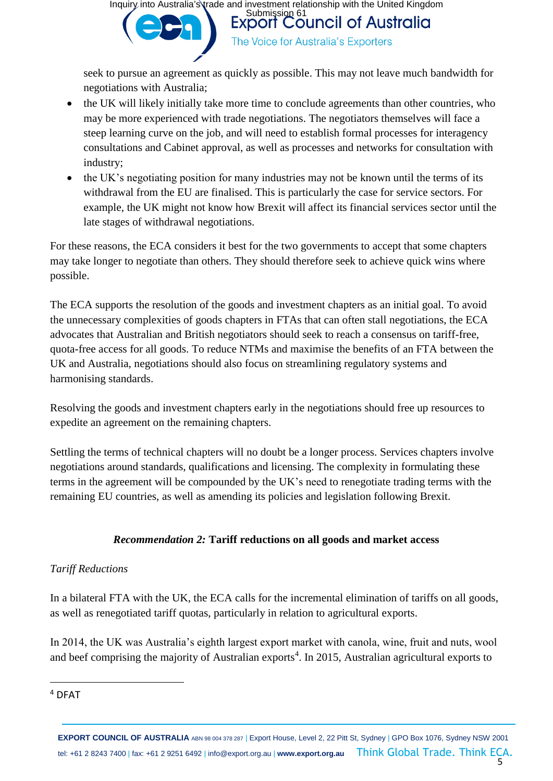The Voice for Australia's Exporters

seek to pursue an agreement as quickly as possible. This may not leave much bandwidth for negotiations with Australia;

- the UK will likely initially take more time to conclude agreements than other countries, who may be more experienced with trade negotiations. The negotiators themselves will face a steep learning curve on the job, and will need to establish formal processes for interagency consultations and Cabinet approval, as well as processes and networks for consultation with industry;
- the UK's negotiating position for many industries may not be known until the terms of its withdrawal from the EU are finalised. This is particularly the case for service sectors. For example, the UK might not know how Brexit will affect its financial services sector until the late stages of withdrawal negotiations.

For these reasons, the ECA considers it best for the two governments to accept that some chapters may take longer to negotiate than others. They should therefore seek to achieve quick wins where possible.

The ECA supports the resolution of the goods and investment chapters as an initial goal. To avoid the unnecessary complexities of goods chapters in FTAs that can often stall negotiations, the ECA advocates that Australian and British negotiators should seek to reach a consensus on tariff-free, quota-free access for all goods. To reduce NTMs and maximise the benefits of an FTA between the UK and Australia, negotiations should also focus on streamlining regulatory systems and harmonising standards.

Resolving the goods and investment chapters early in the negotiations should free up resources to expedite an agreement on the remaining chapters.

Settling the terms of technical chapters will no doubt be a longer process. Services chapters involve negotiations around standards, qualifications and licensing. The complexity in formulating these terms in the agreement will be compounded by the UK's need to renegotiate trading terms with the remaining EU countries, as well as amending its policies and legislation following Brexit.

### *Recommendation 2:* **Tariff reductions on all goods and market access**

### *Tariff Reductions*

In a bilateral FTA with the UK, the ECA calls for the incremental elimination of tariffs on all goods, as well as renegotiated tariff quotas, particularly in relation to agricultural exports.

In 2014, the UK was Australia's eighth largest export market with canola, wine, fruit and nuts, wool and beef comprising the majority of Australian exports<sup>4</sup>. In 2015, Australian agricultural exports to

<sup>4</sup> DFAT

1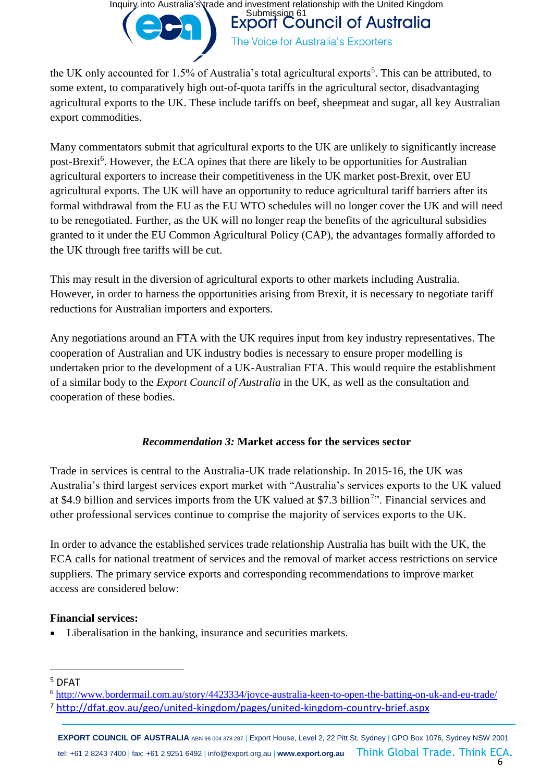The Voice for Australia's Exporters

the UK only accounted for 1.5% of Australia's total agricultural exports<sup>5</sup>. This can be attributed, to some extent, to comparatively high out-of-quota tariffs in the agricultural sector, disadvantaging agricultural exports to the UK. These include tariffs on beef, sheepmeat and sugar, all key Australian export commodities.

Many commentators submit that agricultural exports to the UK are unlikely to significantly increase post-Brexit<sup>6</sup>. However, the ECA opines that there are likely to be opportunities for Australian agricultural exporters to increase their competitiveness in the UK market post-Brexit, over EU agricultural exports. The UK will have an opportunity to reduce agricultural tariff barriers after its formal withdrawal from the EU as the EU WTO schedules will no longer cover the UK and will need to be renegotiated. Further, as the UK will no longer reap the benefits of the agricultural subsidies granted to it under the EU Common Agricultural Policy (CAP), the advantages formally afforded to the UK through free tariffs will be cut.

This may result in the diversion of agricultural exports to other markets including Australia. However, in order to harness the opportunities arising from Brexit, it is necessary to negotiate tariff reductions for Australian importers and exporters.

Any negotiations around an FTA with the UK requires input from key industry representatives. The cooperation of Australian and UK industry bodies is necessary to ensure proper modelling is undertaken prior to the development of a UK-Australian FTA. This would require the establishment of a similar body to the *Export Council of Australia* in the UK, as well as the consultation and cooperation of these bodies.

### *Recommendation 3:* **Market access for the services sector**

Trade in services is central to the Australia-UK trade relationship. In 2015-16, the UK was Australia's third largest services export market with "Australia's services exports to the UK valued at \$4.9 billion and services imports from the UK valued at \$7.3 billion<sup>7</sup>". Financial services and other professional services continue to comprise the majority of services exports to the UK.

In order to advance the established services trade relationship Australia has built with the UK, the ECA calls for national treatment of services and the removal of market access restrictions on service suppliers. The primary service exports and corresponding recommendations to improve market access are considered below:

### **Financial services:**

• Liberalisation in the banking, insurance and securities markets.

1

**EXPORT COUNCIL OF AUSTRALIA** ABN 98 004 378 287 | Export House, Level 2, 22 Pitt St, Sydney | GPO Box 1076, Sydney NSW 2001 tel: +61 2 8243 7400 | fax: +61 2 9251 6492 | info@export.org.au | **www.export.org.au** Think Global Trade. Think ECA.

<sup>5</sup> DFAT

<sup>6</sup> http://www.bordermail.com.au/story/4423334/joyce-australia-keen-to-open-the-batting-on-uk-and-eu-trade/

<sup>7</sup> http://dfat.gov.au/geo/united-kingdom/pages/united-kingdom-country-brief.aspx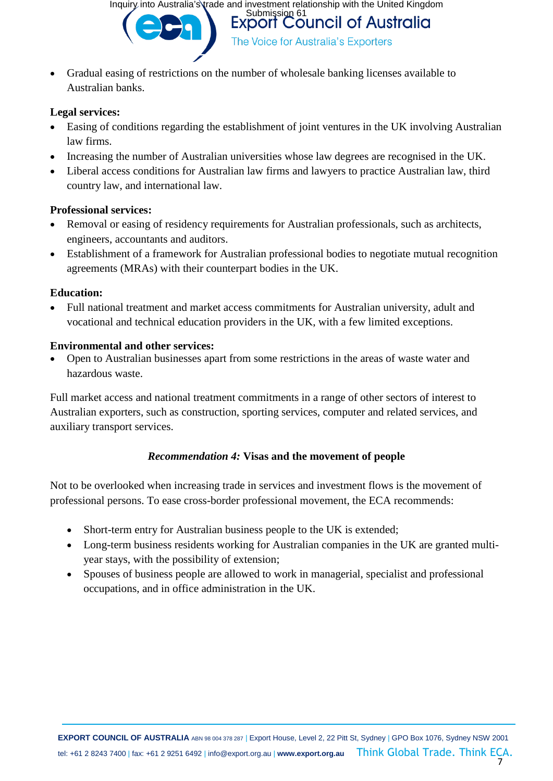The Voice for Australia's Exporters

• Gradual easing of restrictions on the number of wholesale banking licenses available to Australian banks.

#### **Legal services:**

- Easing of conditions regarding the establishment of joint ventures in the UK involving Australian law firms.
- Increasing the number of Australian universities whose law degrees are recognised in the UK.
- Liberal access conditions for Australian law firms and lawyers to practice Australian law, third country law, and international law.

# **Professional services:**

- Removal or easing of residency requirements for Australian professionals, such as architects, engineers, accountants and auditors.
- Establishment of a framework for Australian professional bodies to negotiate mutual recognition agreements (MRAs) with their counterpart bodies in the UK.

### **Education:**

• Full national treatment and market access commitments for Australian university, adult and vocational and technical education providers in the UK, with a few limited exceptions.

# **Environmental and other services:**

• Open to Australian businesses apart from some restrictions in the areas of waste water and hazardous waste.

Full market access and national treatment commitments in a range of other sectors of interest to Australian exporters, such as construction, sporting services, computer and related services, and auxiliary transport services.

# *Recommendation 4:* **Visas and the movement of people**

Not to be overlooked when increasing trade in services and investment flows is the movement of professional persons. To ease cross-border professional movement, the ECA recommends:

- Short-term entry for Australian business people to the UK is extended;
- Long-term business residents working for Australian companies in the UK are granted multiyear stays, with the possibility of extension;
- Spouses of business people are allowed to work in managerial, specialist and professional occupations, and in office administration in the UK.